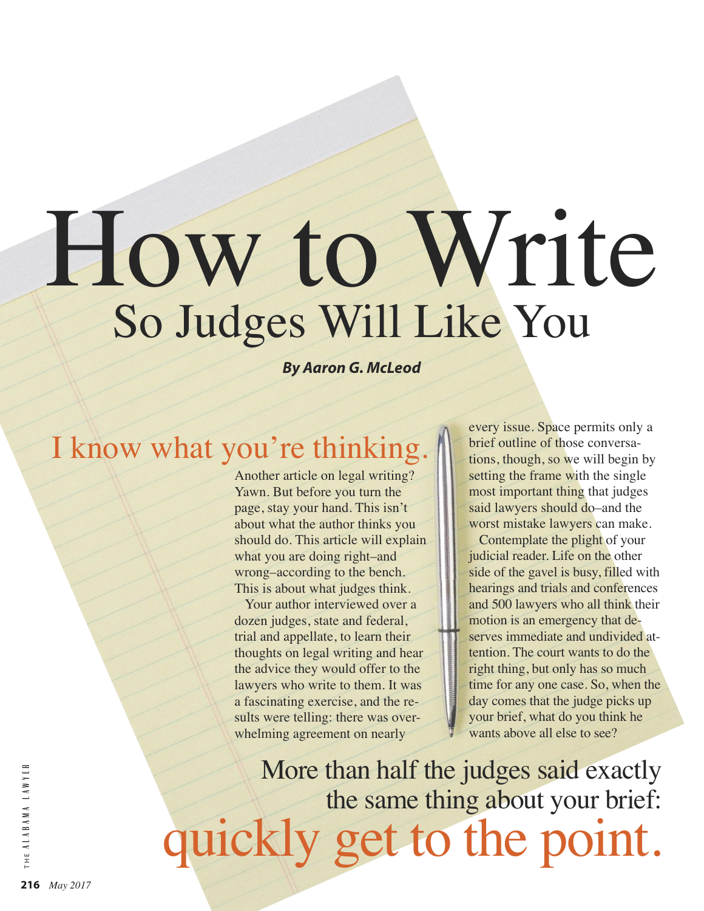# How to Write So Judges Will Like You

*By Aaron G. McLeod*

### I know what you're thinking.

Another article on legal writing? Yawn. But before you turn the page, stay your hand. This isn't about what the author thinks you should do. This article will explain what you are doing right–and wrong–according to the bench. This is about what judges think.

Your author interviewed over a dozen judges, state and federal, trial and appellate, to learn their thoughts on legal writing and hear the advice they would offer to the lawyers who write to them. It was a fascinating exercise, and the results were telling: there was overwhelming agreement on nearly

every issue. Space permits only a brief outline of those conversations, though, so we will begin by setting the frame with the single most important thing that judges said lawyers should do–and the worst mistake lawyers can make.

Contemplate the plight of your judicial reader. Life on the other side of the gavel is busy, filled with hearings and trials and conferences and 500 lawyers who all think their motion is an emergency that deserves immediate and undivided attention. The court wants to do the right thing, but only has so much time for any one case. So, when the day comes that the judge picks up your brief, what do you think he wants above all else to see?

More than half the judges said exactly the same thing about your brief: quickly get to the point.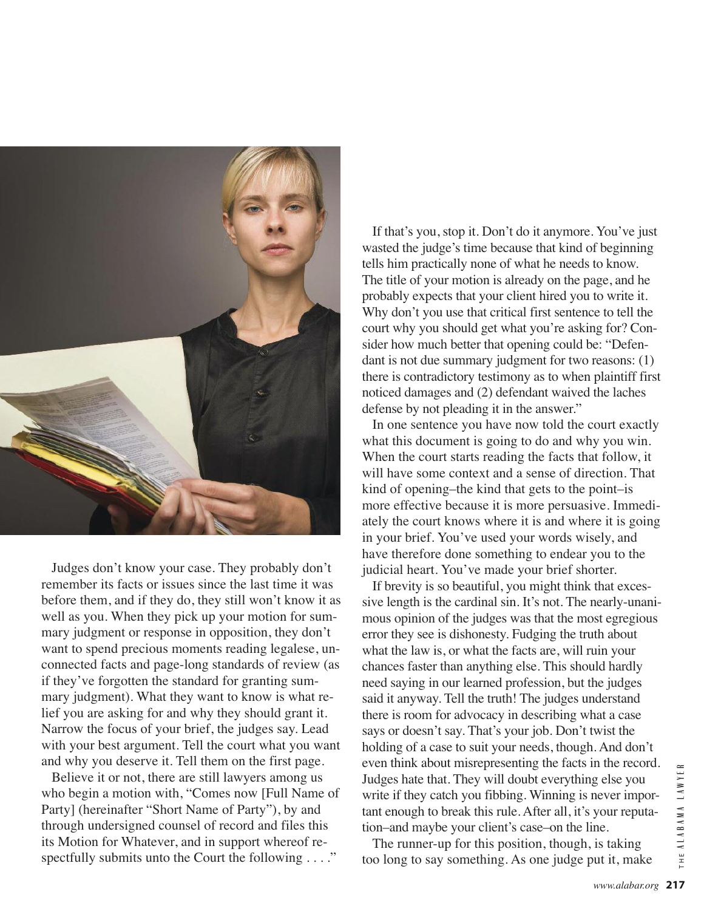

Judges don't know your case. They probably don't remember its facts or issues since the last time it was before them, and if they do, they still won't know it as well as you. When they pick up your motion for summary judgment or response in opposition, they don't want to spend precious moments reading legalese, unconnected facts and page-long standards of review (as if they've forgotten the standard for granting summary judgment). What they want to know is what relief you are asking for and why they should grant it. Narrow the focus of your brief, the judges say. Lead with your best argument. Tell the court what you want and why you deserve it. Tell them on the first page.

Believe it or not, there are still lawyers among us who begin a motion with, "Comes now [Full Name of Party] (hereinafter "Short Name of Party"), by and through undersigned counsel of record and files this its Motion for Whatever, and in support whereof respectfully submits unto the Court the following . . . ."

If that's you, stop it. Don't do it anymore. You've just wasted the judge's time because that kind of beginning tells him practically none of what he needs to know. The title of your motion is already on the page, and he probably expects that your client hired you to write it. Why don't you use that critical first sentence to tell the court why you should get what you're asking for? Consider how much better that opening could be: "Defendant is not due summary judgment for two reasons: (1) there is contradictory testimony as to when plaintiff first noticed damages and (2) defendant waived the laches defense by not pleading it in the answer."

In one sentence you have now told the court exactly what this document is going to do and why you win. When the court starts reading the facts that follow, it will have some context and a sense of direction. That kind of opening–the kind that gets to the point–is more effective because it is more persuasive. Immediately the court knows where it is and where it is going in your brief. You've used your words wisely, and have therefore done something to endear you to the judicial heart. You've made your brief shorter.

If brevity is so beautiful, you might think that excessive length is the cardinal sin. It's not. The nearly-unanimous opinion of the judges was that the most egregious error they see is dishonesty. Fudging the truth about what the law is, or what the facts are, will ruin your chances faster than anything else. This should hardly need saying in our learned profession, but the judges said it anyway. Tell the truth! The judges understand there is room for advocacy in describing what a case says or doesn't say. That's your job. Don't twist the holding of a case to suit your needs, though. And don't even think about misrepresenting the facts in the record. Judges hate that. They will doubt everything else you write if they catch you fibbing. Winning is never important enough to break this rule. After all, it's your reputation–and maybe your client's case–on the line.

The runner-up for this position, though, is taking too long to say something. As one judge put it, make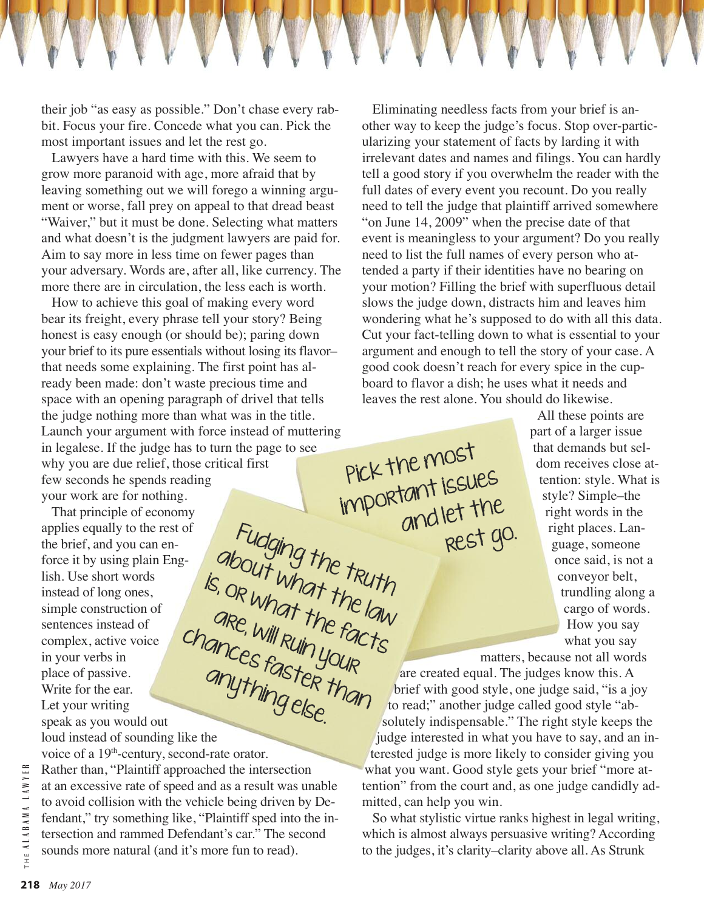their job "as easy as possible." Don't chase every rabbit. Focus your fire. Concede what you can. Pick the most important issues and let the rest go.

Lawyers have a hard time with this. We seem to grow more paranoid with age, more afraid that by leaving something out we will forego a winning argument or worse, fall prey on appeal to that dread beast "Waiver," but it must be done. Selecting what matters and what doesn't is the judgment lawyers are paid for. Aim to say more in less time on fewer pages than your adversary. Words are, after all, like currency. The more there are in circulation, the less each is worth.

How to achieve this goal of making every word bear its freight, every phrase tell your story? Being honest is easy enough (or should be); paring down your brief to its pure essentials without losing its flavor– that needs some explaining. The first point has already been made: don't waste precious time and space with an opening paragraph of drivel that tells the judge nothing more than what was in the title. Launch your argument with force instead of muttering in legalese. If the judge has to turn the page to see why you are due relief, those critical first few seconds he spends reading your work are for nothing. Pick the most important issues

Fudging the truth

about what the truth<br>or what the law<br>are , not the e law

are, will ruin the fall<br>ances fast your

anything else.

That principle of economy applies equally to the rest of the brief, and you can enforce it by using plain English. Use short words instead of long ones, simple construction of sentences instead of complex, active voice in your verbs in place of passive. Write for the ear. Let your writing speak as you would out in your vertext.<br>
place of passive.<br>
Write for the ear.<br>
Let your writing<br>
speak as you would out<br>
loud instead of sounding like the chances faster than

voice of a 19<sup>th</sup>-century, second-rate orator. Rather than, "Plaintiff approached the intersection at an excessive rate of speed and as a result was unable to avoid collision with the vehicle being driven by De-

fendant," try something like, "Plaintiff sped into the intersection and rammed Defendant's car." The second sounds more natural (and it's more fun to read).

Eliminating needless facts from your brief is another way to keep the judge's focus. Stop over-particularizing your statement of facts by larding it with irrelevant dates and names and filings. You can hardly tell a good story if you overwhelm the reader with the full dates of every event you recount. Do you really need to tell the judge that plaintiff arrived somewhere "on June 14, 2009" when the precise date of that event is meaningless to your argument? Do you really need to list the full names of every person who attended a party if their identities have no bearing on your motion? Filling the brief with superfluous detail slows the judge down, distracts him and leaves him wondering what he's supposed to do with all this data. Cut your fact-telling down to what is essential to your argument and enough to tell the story of your case. A good cook doesn't reach for every spice in the cupboard to flavor a dish; he uses what it needs and leaves the rest alone. You should do likewise.

> All these points are part of a larger issue that demands but seldom receives close attention: style. What is style? Simple–the right words in the right places. Language, someone once said, is not a conveyor belt, trundling along a cargo of words. How you say what you say

matters, because not all words are created equal. The judges know this. A brief with good style, one judge said, "is a joy to read;" another judge called good style "absolutely indispensable." The right style keeps the judge interested in what you have to say, and an interested judge is more likely to consider giving you what you want. Good style gets your brief "more attention" from the court and, as one judge candidly admitted, can help you win. is, or what the facts

and let the

rest go.

So what stylistic virtue ranks highest in legal writing, which is almost always persuasive writing? According to the judges, it's clarity–clarity above all. As Strunk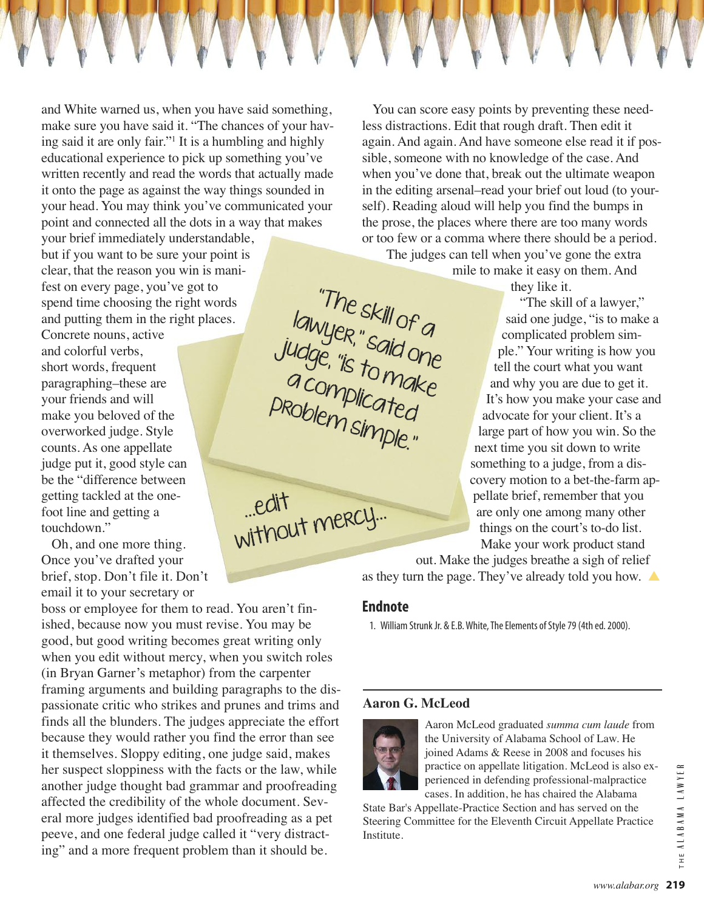and White warned us, when you have said something, make sure you have said it. "The chances of your having said it are only fair."1 It is a humbling and highly educational experience to pick up something you've written recently and read the words that actually made it onto the page as against the way things sounded in your head. You may think you've communicated your point and connected all the dots in a way that makes

your brief immediately understandable, but if you want to be sure your point is clear, that the reason you win is manifest on every page, you've got to spend time choosing the right words and putting them in the right places.

Concrete nouns, active and colorful verbs, short words, frequent paragraphing–these are your friends and will make you beloved of the overworked judge. Style counts. As one appellate judge put it, good style can be the "difference between getting tackled at the onefoot line and getting a touchdown."

Oh, and one more thing. Once you've drafted your brief, stop. Don't file it. Don't email it to your secretary or

boss or employee for them to read. You aren't finished, because now you must revise. You may be good, but good writing becomes great writing only when you edit without mercy, when you switch roles (in Bryan Garner's metaphor) from the carpenter framing arguments and building paragraphs to the dispassionate critic who strikes and prunes and trims and finds all the blunders. The judges appreciate the effort because they would rather you find the error than see it themselves. Sloppy editing, one judge said, makes her suspect sloppiness with the facts or the law, while another judge thought bad grammar and proofreading affected the credibility of the whole document. Several more judges identified bad proofreading as a pet peeve, and one federal judge called it "very distracting" and a more frequent problem than it should be.

You can score easy points by preventing these needless distractions. Edit that rough draft. Then edit it again. And again. And have someone else read it if possible, someone with no knowledge of the case. And when you've done that, break out the ultimate weapon in the editing arsenal–read your brief out loud (to yourself). Reading aloud will help you find the bumps in the prose, the places where there are too many words or too few or a comma where there should be a period.

The judges can tell when you've gone the extra mile to make it easy on them. And

they like it.

"The skill of a lawyer," said one judge, "is to make a complicated problem simple." Your writing is how you tell the court what you want and why you are due to get it. It's how you make your case and advocate for your client. It's a large part of how you win. So the next time you sit down to write something to a judge, from a discovery motion to a bet-the-farm appellate brief, remember that you are only one among many other things on the court's to-do list. Make your work product stand

out. Make the judges breathe a sigh of relief as they turn the page. They've already told you how. **▲**

#### **Endnote**

"The skill of a<br>luep".

lawyer," said one<br>ldge, "is to did one

judge, "is to make

a complicated

problem simple."

…edit

without mercy...

1. William Strunk Jr. & E.B. White, The Elements of Style 79 (4th ed. 2000).

#### **Aaron G. McLeod**



Aaron McLeod graduated *summa cum laude* from the University of Alabama School of Law. He joined Adams & Reese in 2008 and focuses his practice on appellate litigation. McLeod is also experienced in defending professional-malpractice cases. In addition, he has chaired the Alabama

State Bar's Appellate-Practice Section and has served on the Steering Committee for the Eleventh Circuit Appellate Practice Institute.